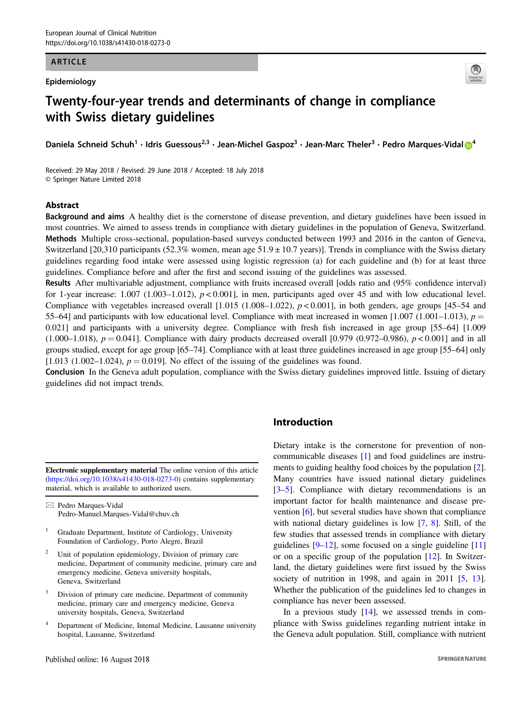#### ARTICLE

#### Epidemiology



# Twenty-four-year trends and determinants of change in compliance with Swiss dietary guidelines

Danie[l](http://orcid.org/0000-0002-4548-8500)a Schneid Schuh<sup>1</sup> • Idris Guessous<sup>2,3</sup> • Jean-Michel Gaspoz<sup>3</sup> • Jean-Marc Theler<sup>3</sup> • Pedro Marques-Vidal i

Received: 29 May 2018 / Revised: 29 June 2018 / Accepted: 18 July 2018 © Springer Nature Limited 2018

#### Abstract

Background and aims A healthy diet is the cornerstone of disease prevention, and dietary guidelines have been issued in most countries. We aimed to assess trends in compliance with dietary guidelines in the population of Geneva, Switzerland. Methods Multiple cross-sectional, population-based surveys conducted between 1993 and 2016 in the canton of Geneva, Switzerland [20,310 participants (52.3% women, mean age  $51.9 \pm 10.7$  years)]. Trends in compliance with the Swiss dietary guidelines regarding food intake were assessed using logistic regression (a) for each guideline and (b) for at least three guidelines. Compliance before and after the first and second issuing of the guidelines was assessed.

Results After multivariable adjustment, compliance with fruits increased overall [odds ratio and (95% confidence interval) for 1-year increase: 1.007 (1.003–1.012),  $p < 0.001$ ], in men, participants aged over 45 and with low educational level. Compliance with vegetables increased overall  $[1.015 (1.008-1.022), p < 0.001]$ , in both genders, age groups  $[45-54$  and 55–64] and participants with low educational level. Compliance with meat increased in women  $[1.007 (1.001-1.013), p =$ 0.021] and participants with a university degree. Compliance with fresh fish increased in age group [55–64] [1.009  $(1.000-1.018)$ ,  $p = 0.041$ ]. Compliance with dairy products decreased overall [0.979 (0.972–0.986),  $p < 0.001$ ] and in all groups studied, except for age group [65–74]. Compliance with at least three guidelines increased in age group [55–64] only  $[1.013 (1.002-1.024), p = 0.019]$ . No effect of the issuing of the guidelines was found.

Conclusion In the Geneva adult population, compliance with the Swiss dietary guidelines improved little. Issuing of dietary guidelines did not impact trends.

Electronic supplementary material The online version of this article ([https://doi.org/10.1038/s41430-018-0273-0\)](https://doi.org/10.1038/s41430-018-0273-0) contains supplementary material, which is available to authorized users.

 $\boxtimes$  Pedro Marques-Vidal [Pedro-Manuel.Marques-Vidal@chuv.ch](mailto:%3C?thyc=12?%3EPedro-Manuel%3C?thyc?%3E.Marques-Vidal@chuv.ch)

- <sup>1</sup> Graduate Department, Institute of Cardiology, University Foundation of Cardiology, Porto Alegre, Brazil
- Unit of population epidemiology, Division of primary care medicine, Department of community medicine, primary care and emergency medicine, Geneva university hospitals, Geneva, Switzerland
- Division of primary care medicine, Department of community medicine, primary care and emergency medicine, Geneva university hospitals, Geneva, Switzerland
- <sup>4</sup> Department of Medicine, Internal Medicine, Lausanne university hospital, Lausanne, Switzerland

## Introduction

Dietary intake is the cornerstone for prevention of noncommunicable diseases [\[1](#page-7-0)] and food guidelines are instruments to guiding healthy food choices by the population [[2\]](#page-7-0). Many countries have issued national dietary guidelines [\[3](#page-7-0)–[5](#page-7-0)]. Compliance with dietary recommendations is an important factor for health maintenance and disease prevention [[6\]](#page-7-0), but several studies have shown that compliance with national dietary guidelines is low [\[7](#page-7-0), [8\]](#page-7-0). Still, of the few studies that assessed trends in compliance with dietary guidelines  $[9-12]$  $[9-12]$  $[9-12]$  $[9-12]$ , some focused on a single guideline  $[11]$  $[11]$ or on a specific group of the population [\[12](#page-8-0)]. In Switzerland, the dietary guidelines were first issued by the Swiss society of nutrition in 1998, and again in 2011 [\[5](#page-7-0), [13\]](#page-8-0). Whether the publication of the guidelines led to changes in compliance has never been assessed.

In a previous study [[14\]](#page-8-0), we assessed trends in compliance with Swiss guidelines regarding nutrient intake in the Geneva adult population. Still, compliance with nutrient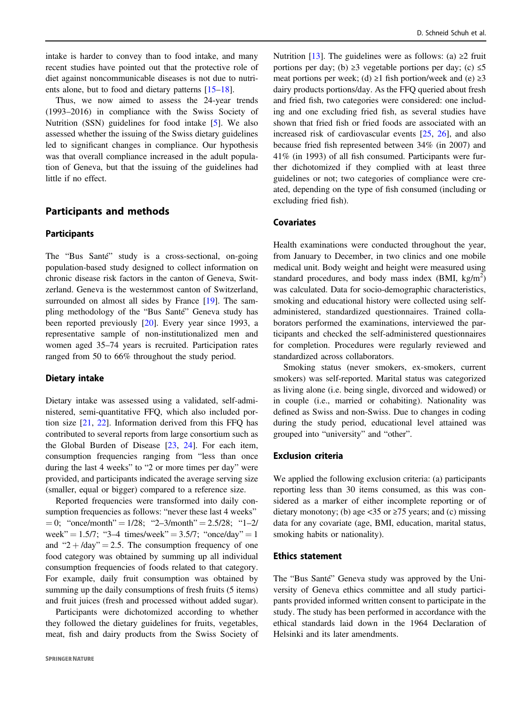intake is harder to convey than to food intake, and many recent studies have pointed out that the protective role of diet against noncommunicable diseases is not due to nutrients alone, but to food and dietary patterns [\[15](#page-8-0)–[18](#page-8-0)].

Thus, we now aimed to assess the 24-year trends (1993–2016) in compliance with the Swiss Society of Nutrition (SSN) guidelines for food intake [[5\]](#page-7-0). We also assessed whether the issuing of the Swiss dietary guidelines led to significant changes in compliance. Our hypothesis was that overall compliance increased in the adult population of Geneva, but that the issuing of the guidelines had little if no effect.

## Participants and methods

## Participants

The "Bus Santé" study is a cross-sectional, on-going population-based study designed to collect information on chronic disease risk factors in the canton of Geneva, Switzerland. Geneva is the westernmost canton of Switzerland, surrounded on almost all sides by France [[19\]](#page-8-0). The sampling methodology of the "Bus Santé" Geneva study has been reported previously [[20\]](#page-8-0). Every year since 1993, a representative sample of non-institutionalized men and women aged 35–74 years is recruited. Participation rates ranged from 50 to 66% throughout the study period.

#### Dietary intake

Dietary intake was assessed using a validated, self-administered, semi-quantitative FFQ, which also included portion size [[21,](#page-8-0) [22\]](#page-8-0). Information derived from this FFQ has contributed to several reports from large consortium such as the Global Burden of Disease [[23,](#page-8-0) [24\]](#page-8-0). For each item, consumption frequencies ranging from "less than once during the last 4 weeks" to "2 or more times per day" were provided, and participants indicated the average serving size (smaller, equal or bigger) compared to a reference size.

Reported frequencies were transformed into daily consumption frequencies as follows: "never these last 4 weeks"  $= 0$ ; "once/month" = 1/28; "2–3/month" = 2.5/28; "1–2/ week" =  $1.5/7$ ; "3-4 times/week" =  $3.5/7$ ; "once/day" =  $1$ and "2 +  $/$ day" = 2.5. The consumption frequency of one food category was obtained by summing up all individual consumption frequencies of foods related to that category. For example, daily fruit consumption was obtained by summing up the daily consumptions of fresh fruits (5 items) and fruit juices (fresh and processed without added sugar).

Participants were dichotomized according to whether they followed the dietary guidelines for fruits, vegetables, meat, fish and dairy products from the Swiss Society of Nutrition [[13\]](#page-8-0). The guidelines were as follows: (a)  $\geq 2$  fruit portions per day; (b)  $\geq$ 3 vegetable portions per day; (c)  $\leq$ 5 meat portions per week; (d) ≥1 fish portion/week and (e) ≥3 dairy products portions/day. As the FFQ queried about fresh and fried fish, two categories were considered: one including and one excluding fried fish, as several studies have shown that fried fish or fried foods are associated with an increased risk of cardiovascular events [\[25](#page-8-0), [26\]](#page-8-0), and also because fried fish represented between 34% (in 2007) and 41% (in 1993) of all fish consumed. Participants were further dichotomized if they complied with at least three guidelines or not; two categories of compliance were created, depending on the type of fish consumed (including or excluding fried fish).

## **Covariates**

Health examinations were conducted throughout the year, from January to December, in two clinics and one mobile medical unit. Body weight and height were measured using standard procedures, and body mass index (BMI,  $\text{kg/m}^2$ ) was calculated. Data for socio-demographic characteristics, smoking and educational history were collected using selfadministered, standardized questionnaires. Trained collaborators performed the examinations, interviewed the participants and checked the self-administered questionnaires for completion. Procedures were regularly reviewed and standardized across collaborators.

Smoking status (never smokers, ex-smokers, current smokers) was self-reported. Marital status was categorized as living alone (i.e. being single, divorced and widowed) or in couple (i.e., married or cohabiting). Nationality was defined as Swiss and non-Swiss. Due to changes in coding during the study period, educational level attained was grouped into "university" and "other".

#### Exclusion criteria

We applied the following exclusion criteria: (a) participants reporting less than 30 items consumed, as this was considered as a marker of either incomplete reporting or of dietary monotony; (b) age <35 or  $\geq$ 75 years; and (c) missing data for any covariate (age, BMI, education, marital status, smoking habits or nationality).

## Ethics statement

The "Bus Santé" Geneva study was approved by the University of Geneva ethics committee and all study participants provided informed written consent to participate in the study. The study has been performed in accordance with the ethical standards laid down in the 1964 Declaration of Helsinki and its later amendments.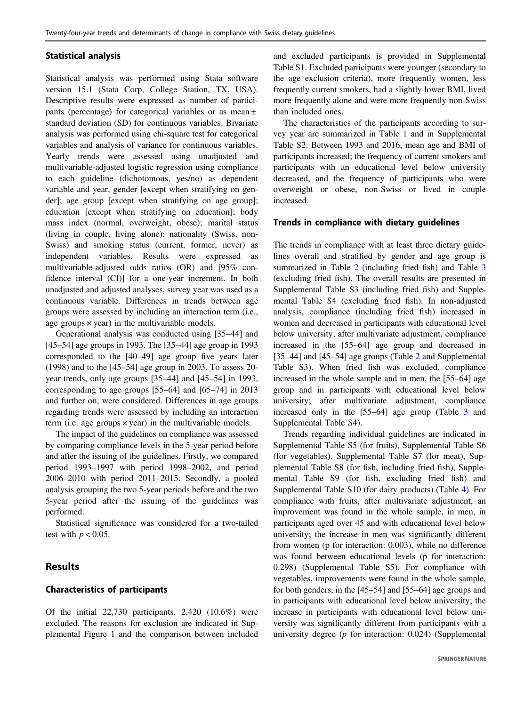#### Statistical analysis

Statistical analysis was performed using Stata software version 15.1 (Stata Corp, College Station, TX, USA). Descriptive results were expressed as number of participants (percentage) for categorical variables or as mean ± standard deviation (SD) for continuous variables. Bivariate analysis was performed using chi-square test for categorical variables and analysis of variance for continuous variables. Yearly trends were assessed using unadjusted and multivariable-adjusted logistic regression using compliance to each guideline (dichotomous, yes/no) as dependent variable and year, gender [except when stratifying on gender]; age group [except when stratifying on age group]; education [except when stratifying on education]; body mass index (normal, overweight, obese); marital status (living in couple, living alone); nationality (Swiss, non-Swiss) and smoking status (current, former, never) as independent variables. Results were expressed as multivariable-adjusted odds ratios (OR) and [95% confidence interval (CI)] for a one-year increment. In both unadjusted and adjusted analyses, survey year was used as a continuous variable. Differences in trends between age groups were assessed by including an interaction term (i.e., age groups  $\times$  year) in the multivariable models.

Generational analysis was conducted using [35–44] and [45–54] age groups in 1993. The [35–44] age group in 1993 corresponded to the [40–49] age group five years later (1998) and to the [45–54] age group in 2003. To assess 20 year trends, only age groups [35–44] and [45–54] in 1993, corresponding to age groups [55–64] and [65–74] in 2013 and further on, were considered. Differences in age groups regarding trends were assessed by including an interaction term (i.e. age groups × year) in the multivariable models.

The impact of the guidelines on compliance was assessed by comparing compliance levels in the 5-year period before and after the issuing of the guidelines. Firstly, we compared period 1993–1997 with period 1998–2002, and period 2006–2010 with period 2011–2015. Secondly, a pooled analysis grouping the two 5-year periods before and the two 5-year period after the issuing of the guidelines was performed.

Statistical significance was considered for a two-tailed test with  $p < 0.05$ .

# Results

## Characteristics of participants

Of the initial 22,730 participants, 2,420 (10.6%) were excluded. The reasons for exclusion are indicated in Supplemental Figure 1 and the comparison between included and excluded participants is provided in Supplemental Table S1. Excluded participants were younger (secondary to the age exclusion criteria), more frequently women, less frequently current smokers, had a slightly lower BMI, lived more frequently alone and were more frequently non-Swiss than included ones.

The characteristics of the participants according to survey year are summarized in Table [1](#page-3-0) and in Supplemental Table S2. Between 1993 and 2016, mean age and BMI of participants increased; the frequency of current smokers and participants with an educational level below university decreased, and the frequency of participants who were overweight or obese, non-Swiss or lived in couple increased.

## Trends in compliance with dietary guidelines

The trends in compliance with at least three dietary guidelines overall and stratified by gender and age group is summarized in Table [2](#page-3-0) (including fried fish) and Table [3](#page-4-0) (excluding fried fish). The overall results are presented in Supplemental Table S3 (including fried fish) and Supplemental Table S4 (excluding fried fish). In non-adjusted analysis, compliance (including fried fish) increased in women and decreased in participants with educational level below university; after multivariate adjustment, compliance increased in the [55–64] age group and decreased in [35–44] and [45–54] age groups (Table [2](#page-3-0) and Supplemental Table S3). When fried fish was excluded, compliance increased in the whole sample and in men, the [55–64] age group and in participants with educational level below university; after multivariate adjustment, compliance increased only in the [55–64] age group (Table [3](#page-4-0) and Supplemental Table S4).

Trends regarding individual guidelines are indicated in Supplemental Table S5 (for fruits), Supplemental Table S6 (for vegetables), Supplemental Table S7 (for meat), Supplemental Table S8 (for fish, including fried fish), Supplemental Table S9 (for fish, excluding fried fish) and Supplemental Table S10 (for dairy products) (Table [4\)](#page-5-0). For compliance with fruits, after multivariate adjustment, an improvement was found in the whole sample, in men, in participants aged over 45 and with educational level below university; the increase in men was significantly different from women (p for interaction: 0.003), while no difference was found between educational levels (p for interaction: 0.298) (Supplemental Table S5). For compliance with vegetables, improvements were found in the whole sample, for both genders, in the [45–54] and [55–64] age groups and in participants with educational level below university; the increase in participants with educational level below university was significantly different from participants with a university degree (p for interaction: 0.024) (Supplemental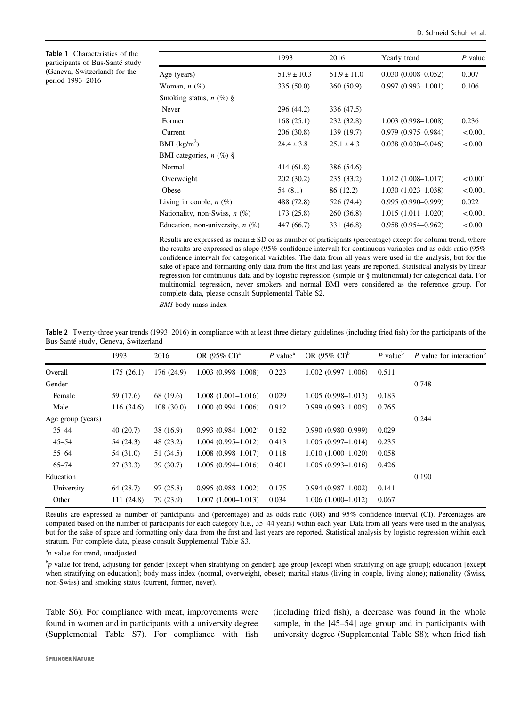<span id="page-3-0"></span>

| <b>Table 1</b> Characteristics of the |
|---------------------------------------|
| participants of Bus-Santé study       |
| (Geneva, Switzerland) for the         |
| period 1993-2016                      |

 $\overline{a}$ 

|                                    | 1993            | 2016            | Yearly trend              | P value |
|------------------------------------|-----------------|-----------------|---------------------------|---------|
| Age (years)                        | $51.9 \pm 10.3$ | $51.9 \pm 11.0$ | $0.030(0.008 - 0.052)$    | 0.007   |
| Woman, $n$ $(\%)$                  | 335 (50.0)      | 360 (50.9)      | $0.997(0.993 - 1.001)$    | 0.106   |
| Smoking status, $n$ (%) §          |                 |                 |                           |         |
| Never                              | 296 (44.2)      | 336 (47.5)      |                           |         |
| Former                             | 168(25.1)       | 232 (32.8)      | $1.003(0.998 - 1.008)$    | 0.236   |
| Current                            | 206 (30.8)      | 139 (19.7)      | $0.979(0.975 - 0.984)$    | < 0.001 |
| BMI $(kg/m^2)$                     | $24.4 \pm 3.8$  | $25.1 \pm 4.3$  | $0.038$ $(0.030 - 0.046)$ | < 0.001 |
| BMI categories, $n$ (%) §          |                 |                 |                           |         |
| Normal                             | 414 (61.8)      | 386 (54.6)      |                           |         |
| Overweight                         | 202 (30.2)      | 235(33.2)       | $1.012(1.008 - 1.017)$    | < 0.001 |
| Obese                              | 54 (8.1)        | 86 (12.2)       | $1.030(1.023 - 1.038)$    | < 0.001 |
| Living in couple, $n(\%)$          | 488 (72.8)      | 526 (74.4)      | $0.995(0.990 - 0.999)$    | 0.022   |
| Nationality, non-Swiss, $n$ (%)    | 173 (25.8)      | 260 (36.8)      | $1.015(1.011 - 1.020)$    | < 0.001 |
| Education, non-university, $n(\%)$ | 447 (66.7)      | 331 (46.8)      | $0.958(0.954 - 0.962)$    | < 0.001 |

Results are expressed as mean ± SD or as number of participants (percentage) except for column trend, where the results are expressed as slope (95% confidence interval) for continuous variables and as odds ratio (95% confidence interval) for categorical variables. The data from all years were used in the analysis, but for the sake of space and formatting only data from the first and last years are reported. Statistical analysis by linear regression for continuous data and by logistic regression (simple or § multinomial) for categorical data. For multinomial regression, never smokers and normal BMI were considered as the reference group. For complete data, please consult Supplemental Table S2.

BMI body mass index

Table 2 Twenty-three year trends (1993–2016) in compliance with at least three dietary guidelines (including fried fish) for the participants of the Bus-Santé study, Geneva, Switzerland

|                   | 1993       | 2016       | OR $(95\% \text{ CI})^{\text{a}}$ | $P$ value <sup>a</sup> | OR $(95\% \text{ CI})^b$ | $P$ value <sup>b</sup> | P value for interaction <sup>t</sup> |
|-------------------|------------|------------|-----------------------------------|------------------------|--------------------------|------------------------|--------------------------------------|
| Overall           | 175(26.1)  | 176 (24.9) | $1.003(0.998 - 1.008)$            | 0.223                  | $1.002(0.997-1.006)$     | 0.511                  |                                      |
| Gender            |            |            |                                   |                        |                          |                        | 0.748                                |
| Female            | 59 (17.6)  | 68 (19.6)  | $1.008(1.001-1.016)$              | 0.029                  | $1.005(0.998 - 1.013)$   | 0.183                  |                                      |
| Male              | 116 (34.6) | 108(30.0)  | $1.000(0.994 - 1.006)$            | 0.912                  | $0.999(0.993 - 1.005)$   | 0.765                  |                                      |
| Age group (years) |            |            |                                   |                        |                          |                        | 0.244                                |
| $35 - 44$         | 40(20.7)   | 38 (16.9)  | $0.993(0.984 - 1.002)$            | 0.152                  | $0.990(0.980 - 0.999)$   | 0.029                  |                                      |
| $45 - 54$         | 54 (24.3)  | 48 (23.2)  | $1.004(0.995 - 1.012)$            | 0.413                  | $1.005(0.997-1.014)$     | 0.235                  |                                      |
| $55 - 64$         | 54 (31.0)  | 51 (34.5)  | $1.008(0.998 - 1.017)$            | 0.118                  | $1.010(1.000-1.020)$     | 0.058                  |                                      |
| $65 - 74$         | 27(33.3)   | 39(30.7)   | $1.005(0.994 - 1.016)$            | 0.401                  | $1.005(0.993 - 1.016)$   | 0.426                  |                                      |
| Education         |            |            |                                   |                        |                          |                        | 0.190                                |
| University        | 64 (28.7)  | 97(25.8)   | $0.995(0.988 - 1.002)$            | 0.175                  | $0.994(0.987-1.002)$     | 0.141                  |                                      |
| Other             | 111(24.8)  | 79 (23.9)  | $1.007(1.000-1.013)$              | 0.034                  | $1.006(1.000-1.012)$     | 0.067                  |                                      |

Results are expressed as number of participants and (percentage) and as odds ratio (OR) and 95% confidence interval (CI). Percentages are computed based on the number of participants for each category (i.e., 35–44 years) within each year. Data from all years were used in the analysis, but for the sake of space and formatting only data from the first and last years are reported. Statistical analysis by logistic regression within each stratum. For complete data, please consult Supplemental Table S3.

 ${}^{a}p$  value for trend, unadjusted

 $^{\text{b}}p$  value for trend, adjusting for gender [except when stratifying on gender]; age group [except when stratifying on age group]; education [except when stratifying on education]; body mass index (normal, overweight, obese); marital status (living in couple, living alone); nationality (Swiss, non-Swiss) and smoking status (current, former, never).

Table S6). For compliance with meat, improvements were found in women and in participants with a university degree (Supplemental Table S7). For compliance with fish (including fried fish), a decrease was found in the whole sample, in the [45–54] age group and in participants with university degree (Supplemental Table S8); when fried fish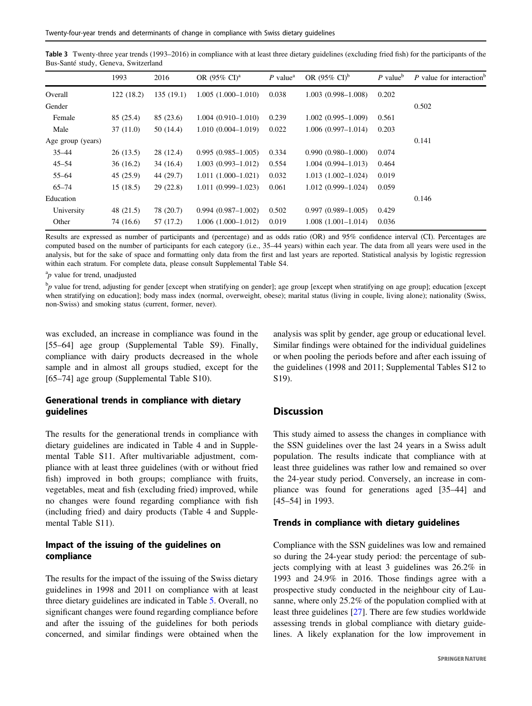<span id="page-4-0"></span>

| Table 3 Twenty-three year trends (1993-2016) in compliance with at least three dietary guidelines (excluding fried fish) for the participants of the |  |
|------------------------------------------------------------------------------------------------------------------------------------------------------|--|
| Bus-Santé study, Geneva, Switzerland                                                                                                                 |  |

|                   | 1993      | 2016      | OR $(95\% \text{ CI})^{\text{a}}$ | $P$ value <sup>a</sup> | OR $(95\% \text{ CI})^b$ | $P$ value <sup>b</sup> | P value for interaction <sup>b</sup> |
|-------------------|-----------|-----------|-----------------------------------|------------------------|--------------------------|------------------------|--------------------------------------|
| Overall           | 122(18.2) | 135(19.1) | $1.005(1.000-1.010)$              | 0.038                  | $1.003(0.998 - 1.008)$   | 0.202                  |                                      |
| Gender            |           |           |                                   |                        |                          |                        | 0.502                                |
| Female            | 85 (25.4) | 85 (23.6) | $1.004(0.910-1.010)$              | 0.239                  | $1.002(0.995 - 1.009)$   | 0.561                  |                                      |
| Male              | 37(11.0)  | 50 (14.4) | $1.010(0.004 - 1.019)$            | 0.022                  | $1.006(0.997-1.014)$     | 0.203                  |                                      |
| Age group (years) |           |           |                                   |                        |                          |                        | 0.141                                |
| $35 - 44$         | 26(13.5)  | 28 (12.4) | $0.995(0.985-1.005)$              | 0.334                  | $0.990(0.980 - 1.000)$   | 0.074                  |                                      |
| $45 - 54$         | 36(16.2)  | 34(16.4)  | $1.003(0.993 - 1.012)$            | 0.554                  | $1.004(0.994 - 1.013)$   | 0.464                  |                                      |
| $55 - 64$         | 45(25.9)  | 44 (29.7) | $1.011(1.000-1.021)$              | 0.032                  | $1.013(1.002 - 1.024)$   | 0.019                  |                                      |
| $65 - 74$         | 15(18.5)  | 29(22.8)  | $1.011(0.999 - 1.023)$            | 0.061                  | $1.012(0.999 - 1.024)$   | 0.059                  |                                      |
| Education         |           |           |                                   |                        |                          |                        | 0.146                                |
| University        | 48 (21.5) | 78 (20.7) | $0.994(0.987-1.002)$              | 0.502                  | $0.997(0.989 - 1.005)$   | 0.429                  |                                      |
| Other             | 74 (16.6) | 57 (17.2) | $1.006(1.000-1.012)$              | 0.019                  | $1.008(1.001-1.014)$     | 0.036                  |                                      |

Results are expressed as number of participants and (percentage) and as odds ratio (OR) and 95% confidence interval (CI). Percentages are computed based on the number of participants for each category (i.e., 35–44 years) within each year. The data from all years were used in the analysis, but for the sake of space and formatting only data from the first and last years are reported. Statistical analysis by logistic regression within each stratum. For complete data, please consult Supplemental Table S4.

 ${}^{a}p$  value for trend, unadjusted

 $^{\text{b}}p$  value for trend, adjusting for gender [except when stratifying on gender]; age group [except when stratifying on age group]; education [except when stratifying on education]; body mass index (normal, overweight, obese); marital status (living in couple, living alone); nationality (Swiss, non-Swiss) and smoking status (current, former, never).

was excluded, an increase in compliance was found in the [55–64] age group (Supplemental Table S9). Finally, compliance with dairy products decreased in the whole sample and in almost all groups studied, except for the [65–74] age group (Supplemental Table S10).

# Generational trends in compliance with dietary guidelines

The results for the generational trends in compliance with dietary guidelines are indicated in Table 4 and in Supplemental Table S11. After multivariable adjustment, compliance with at least three guidelines (with or without fried fish) improved in both groups; compliance with fruits, vegetables, meat and fish (excluding fried) improved, while no changes were found regarding compliance with fish (including fried) and dairy products (Table 4 and Supplemental Table S11).

## Impact of the issuing of the guidelines on compliance

The results for the impact of the issuing of the Swiss dietary guidelines in 1998 and 2011 on compliance with at least three dietary guidelines are indicated in Table [5.](#page-6-0) Overall, no significant changes were found regarding compliance before and after the issuing of the guidelines for both periods concerned, and similar findings were obtained when the analysis was split by gender, age group or educational level. Similar findings were obtained for the individual guidelines or when pooling the periods before and after each issuing of the guidelines (1998 and 2011; Supplemental Tables S12 to S19).

## **Discussion**

This study aimed to assess the changes in compliance with the SSN guidelines over the last 24 years in a Swiss adult population. The results indicate that compliance with at least three guidelines was rather low and remained so over the 24-year study period. Conversely, an increase in compliance was found for generations aged [35–44] and [45–54] in 1993.

## Trends in compliance with dietary guidelines

Compliance with the SSN guidelines was low and remained so during the 24-year study period: the percentage of subjects complying with at least 3 guidelines was 26.2% in 1993 and 24.9% in 2016. Those findings agree with a prospective study conducted in the neighbour city of Lausanne, where only 25.2% of the population complied with at least three guidelines [[27\]](#page-8-0). There are few studies worldwide assessing trends in global compliance with dietary guidelines. A likely explanation for the low improvement in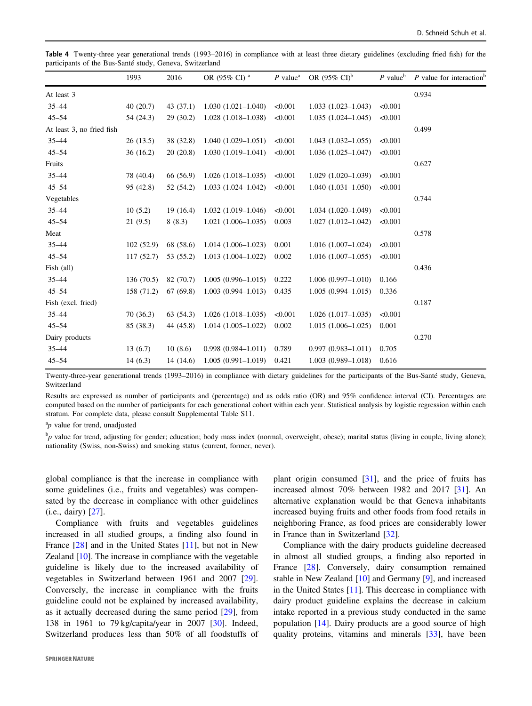<span id="page-5-0"></span>Table 4 Twenty-three year generational trends (1993–2016) in compliance with at least three dietary guidelines (excluding fried fish) for the participants of the Bus-Santé study, Geneva, Switzerland

|                           | 1993       | 2016      | OR (95% CI) <sup>a</sup> | $P$ value <sup>a</sup> | OR $(95\% \text{ CI})^b$ | $P$ value <sup>b</sup> | P value for interaction <sup>t</sup> |
|---------------------------|------------|-----------|--------------------------|------------------------|--------------------------|------------------------|--------------------------------------|
| At least 3                |            |           |                          |                        |                          |                        | 0.934                                |
| $35 - 44$                 | 40(20.7)   | 43(37.1)  | $1.030(1.021 - 1.040)$   | < 0.001                | $1.033(1.023 - 1.043)$   | < 0.001                |                                      |
| $45 - 54$                 | 54 (24.3)  | 29(30.2)  | $1.028(1.018 - 1.038)$   | < 0.001                | $1.035(1.024 - 1.045)$   | < 0.001                |                                      |
| At least 3, no fried fish |            |           |                          |                        |                          |                        | 0.499                                |
| $35 - 44$                 | 26(13.5)   | 38 (32.8) | $1.040(1.029 - 1.051)$   | < 0.001                | $1.043(1.032 - 1.055)$   | < 0.001                |                                      |
| $45 - 54$                 | 36(16.2)   | 20(20.8)  | $1.030(1.019-1.041)$     | < 0.001                | $1.036(1.025-1.047)$     | < 0.001                |                                      |
| Fruits                    |            |           |                          |                        |                          |                        | 0.627                                |
| $35 - 44$                 | 78 (40.4)  | 66 (56.9) | $1.026(1.018-1.035)$     | < 0.001                | $1.029(1.020-1.039)$     | < 0.001                |                                      |
| $45 - 54$                 | 95 (42.8)  | 52 (54.2) | $1.033(1.024 - 1.042)$   | < 0.001                | $1.040(1.031-1.050)$     | < 0.001                |                                      |
| Vegetables                |            |           |                          |                        |                          |                        | 0.744                                |
| $35 - 44$                 | 10(5.2)    | 19(16.4)  | $1.032(1.019-1.046)$     | < 0.001                | $1.034(1.020-1.049)$     | < 0.001                |                                      |
| $45 - 54$                 | 21(9.5)    | 8(8.3)    | $1.021(1.006-1.035)$     | 0.003                  | $1.027(1.012 - 1.042)$   | < 0.001                |                                      |
| Meat                      |            |           |                          |                        |                          |                        | 0.578                                |
| $35 - 44$                 | 102(52.9)  | 68 (58.6) | $1.014(1.006-1.023)$     | 0.001                  | $1.016(1.007-1.024)$     | < 0.001                |                                      |
| $45 - 54$                 | 117(52.7)  | 53 (55.2) | $1.013(1.004-1.022)$     | 0.002                  | $1.016(1.007-1.055)$     | < 0.001                |                                      |
| Fish (all)                |            |           |                          |                        |                          |                        | 0.436                                |
| $35 - 44$                 | 136(70.5)  | 82 (70.7) | $1.005(0.996 - 1.015)$   | 0.222                  | $1.006(0.997 - 1.010)$   | 0.166                  |                                      |
| $45 - 54$                 | 158 (71.2) | 67(69.8)  | $1.003(0.994 - 1.013)$   | 0.435                  | $1.005(0.994 - 1.015)$   | 0.336                  |                                      |
| Fish (excl. fried)        |            |           |                          |                        |                          |                        | 0.187                                |
| $35 - 44$                 | 70(36.3)   | 63(54.3)  | $1.026(1.018-1.035)$     | < 0.001                | $1.026(1.017-1.035)$     | < 0.001                |                                      |
| $45 - 54$                 | 85 (38.3)  | 44 (45.8) | $1.014(1.005-1.022)$     | 0.002                  | $1.015(1.006-1.025)$     | 0.001                  |                                      |
| Dairy products            |            |           |                          |                        |                          |                        | 0.270                                |
| $35 - 44$                 | 13(6.7)    | 10(8.6)   | $0.998(0.984 - 1.011)$   | 0.789                  | $0.997(0.983 - 1.011)$   | 0.705                  |                                      |
| $45 - 54$                 | 14(6.3)    | 14(14.6)  | $1.005(0.991 - 1.019)$   | 0.421                  | $1.003(0.989 - 1.018)$   | 0.616                  |                                      |

Twenty-three-year generational trends (1993–2016) in compliance with dietary guidelines for the participants of the Bus-Santé study, Geneva, Switzerland

Results are expressed as number of participants and (percentage) and as odds ratio (OR) and 95% confidence interval (CI). Percentages are computed based on the number of participants for each generational cohort within each year. Statistical analysis by logistic regression within each stratum. For complete data, please consult Supplemental Table S11.

 ${}^{a}p$  value for trend, unadjusted

 $^{\text{b}}p$  value for trend, adjusting for gender; education; body mass index (normal, overweight, obese); marital status (living in couple, living alone); nationality (Swiss, non-Swiss) and smoking status (current, former, never).

global compliance is that the increase in compliance with some guidelines (i.e., fruits and vegetables) was compensated by the decrease in compliance with other guidelines (i.e., dairy) [\[27](#page-8-0)].

Compliance with fruits and vegetables guidelines increased in all studied groups, a finding also found in France [[28\]](#page-8-0) and in the United States [\[11](#page-7-0)], but not in New Zealand [\[10](#page-7-0)]. The increase in compliance with the vegetable guideline is likely due to the increased availability of vegetables in Switzerland between 1961 and 2007 [\[29](#page-8-0)]. Conversely, the increase in compliance with the fruits guideline could not be explained by increased availability, as it actually decreased during the same period [[29\]](#page-8-0), from 138 in 1961 to 79 kg/capita/year in 2007 [[30](#page-8-0)]. Indeed, Switzerland produces less than 50% of all foodstuffs of plant origin consumed [[31\]](#page-8-0), and the price of fruits has increased almost 70% between 1982 and 2017 [[31\]](#page-8-0). An alternative explanation would be that Geneva inhabitants increased buying fruits and other foods from food retails in neighboring France, as food prices are considerably lower in France than in Switzerland [\[32](#page-8-0)].

Compliance with the dairy products guideline decreased in almost all studied groups, a finding also reported in France [[28](#page-8-0)]. Conversely, dairy consumption remained stable in New Zealand [\[10](#page-7-0)] and Germany [[9\]](#page-7-0), and increased in the United States [\[11](#page-7-0)]. This decrease in compliance with dairy product guideline explains the decrease in calcium intake reported in a previous study conducted in the same population [\[14](#page-8-0)]. Dairy products are a good source of high quality proteins, vitamins and minerals [\[33](#page-8-0)], have been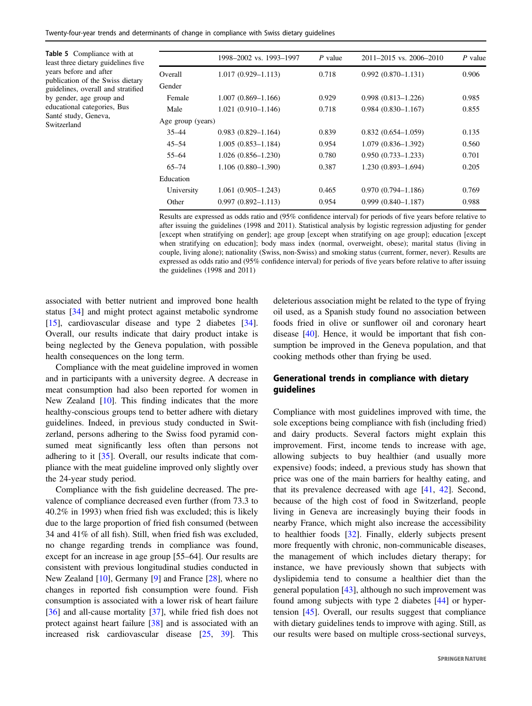<span id="page-6-0"></span>Twenty-four-year trends and determinants of change in compliance with Swiss dietary guidelines

Table 5 Compliance with at least three dietary guidelines five years before and after publication of the Swiss dietary guidelines, overall and stratified by gender, age group and educational categories, Bus Santé study, Geneva, Switzerland

|                   | 1998–2002 vs. 1993–1997 | $P$ value | $2011 - 2015$ vs. $2006 - 2010$ | $P$ value |
|-------------------|-------------------------|-----------|---------------------------------|-----------|
| Overall           | $1.017(0.929 - 1.113)$  | 0.718     | $0.992(0.870 - 1.131)$          | 0.906     |
| Gender            |                         |           |                                 |           |
| Female            | $1.007(0.869 - 1.166)$  | 0.929     | $0.998(0.813 - 1.226)$          | 0.985     |
| Male              | $1.021(0.910 - 1.146)$  | 0.718     | $0.984(0.830 - 1.167)$          | 0.855     |
| Age group (years) |                         |           |                                 |           |
| $35 - 44$         | $0.983(0.829 - 1.164)$  | 0.839     | $0.832(0.654 - 1.059)$          | 0.135     |
| $45 - 54$         | $1.005(0.853 - 1.184)$  | 0.954     | $1.079(0.836 - 1.392)$          | 0.560     |
| $55 - 64$         | $1.026(0.856 - 1.230)$  | 0.780     | $0.950(0.733 - 1.233)$          | 0.701     |
| $65 - 74$         | $1.106(0.880 - 1.390)$  | 0.387     | $1.230(0.893 - 1.694)$          | 0.205     |
| Education         |                         |           |                                 |           |
| University        | $1.061(0.905-1.243)$    | 0.465     | $0.970(0.794 - 1.186)$          | 0.769     |
| Other             | $0.997(0.892 - 1.113)$  | 0.954     | $0.999(0.840 - 1.187)$          | 0.988     |

Results are expressed as odds ratio and (95% confidence interval) for periods of five years before relative to after issuing the guidelines (1998 and 2011). Statistical analysis by logistic regression adjusting for gender [except when stratifying on gender]; age group [except when stratifying on age group]; education [except when stratifying on education]; body mass index (normal, overweight, obese); marital status (living in couple, living alone); nationality (Swiss, non-Swiss) and smoking status (current, former, never). Results are expressed as odds ratio and (95% confidence interval) for periods of five years before relative to after issuing the guidelines (1998 and 2011)

associated with better nutrient and improved bone health status [[34\]](#page-8-0) and might protect against metabolic syndrome [\[15](#page-8-0)], cardiovascular disease and type 2 diabetes [\[34](#page-8-0)]. Overall, our results indicate that dairy product intake is being neglected by the Geneva population, with possible health consequences on the long term.

Compliance with the meat guideline improved in women and in participants with a university degree. A decrease in meat consumption had also been reported for women in New Zealand [[10\]](#page-7-0). This finding indicates that the more healthy-conscious groups tend to better adhere with dietary guidelines. Indeed, in previous study conducted in Switzerland, persons adhering to the Swiss food pyramid consumed meat significantly less often than persons not adhering to it [\[35](#page-8-0)]. Overall, our results indicate that compliance with the meat guideline improved only slightly over the 24-year study period.

Compliance with the fish guideline decreased. The prevalence of compliance decreased even further (from 73.3 to 40.2% in 1993) when fried fish was excluded; this is likely due to the large proportion of fried fish consumed (between 34 and 41% of all fish). Still, when fried fish was excluded, no change regarding trends in compliance was found, except for an increase in age group [55–64]. Our results are consistent with previous longitudinal studies conducted in New Zealand [[10\]](#page-7-0), Germany [\[9](#page-7-0)] and France [[28](#page-8-0)], where no changes in reported fish consumption were found. Fish consumption is associated with a lower risk of heart failure [\[36](#page-8-0)] and all-cause mortality [\[37](#page-8-0)], while fried fish does not protect against heart failure [\[38](#page-8-0)] and is associated with an increased risk cardiovascular disease [\[25](#page-8-0), [39](#page-8-0)]. This deleterious association might be related to the type of frying oil used, as a Spanish study found no association between foods fried in olive or sunflower oil and coronary heart disease [\[40](#page-8-0)]. Hence, it would be important that fish consumption be improved in the Geneva population, and that cooking methods other than frying be used.

## Generational trends in compliance with dietary guidelines

Compliance with most guidelines improved with time, the sole exceptions being compliance with fish (including fried) and dairy products. Several factors might explain this improvement. First, income tends to increase with age, allowing subjects to buy healthier (and usually more expensive) foods; indeed, a previous study has shown that price was one of the main barriers for healthy eating, and that its prevalence decreased with age [[41,](#page-8-0) [42](#page-8-0)]. Second, because of the high cost of food in Switzerland, people living in Geneva are increasingly buying their foods in nearby France, which might also increase the accessibility to healthier foods [\[32](#page-8-0)]. Finally, elderly subjects present more frequently with chronic, non-communicable diseases, the management of which includes dietary therapy; for instance, we have previously shown that subjects with dyslipidemia tend to consume a healthier diet than the general population [[43\]](#page-8-0), although no such improvement was found among subjects with type 2 diabetes [[44\]](#page-8-0) or hypertension [\[45](#page-8-0)]. Overall, our results suggest that compliance with dietary guidelines tends to improve with aging. Still, as our results were based on multiple cross-sectional surveys,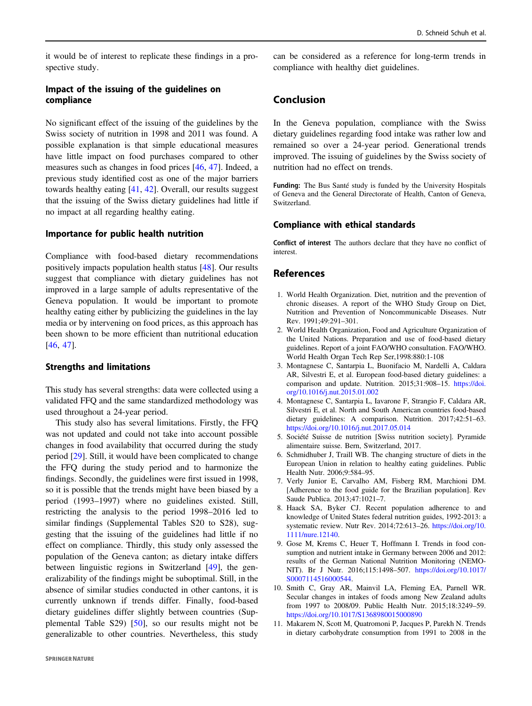<span id="page-7-0"></span>it would be of interest to replicate these findings in a prospective study.

## Impact of the issuing of the guidelines on compliance

No significant effect of the issuing of the guidelines by the Swiss society of nutrition in 1998 and 2011 was found. A possible explanation is that simple educational measures have little impact on food purchases compared to other measures such as changes in food prices [[46,](#page-9-0) [47\]](#page-9-0). Indeed, a previous study identified cost as one of the major barriers towards healthy eating [[41,](#page-8-0) [42](#page-8-0)]. Overall, our results suggest that the issuing of the Swiss dietary guidelines had little if no impact at all regarding healthy eating.

## Importance for public health nutrition

Compliance with food-based dietary recommendations positively impacts population health status [[48\]](#page-9-0). Our results suggest that compliance with dietary guidelines has not improved in a large sample of adults representative of the Geneva population. It would be important to promote healthy eating either by publicizing the guidelines in the lay media or by intervening on food prices, as this approach has been shown to be more efficient than nutritional education [\[46](#page-9-0), [47](#page-9-0)].

#### Strengths and limitations

This study has several strengths: data were collected using a validated FFQ and the same standardized methodology was used throughout a 24-year period.

This study also has several limitations. Firstly, the FFQ was not updated and could not take into account possible changes in food availability that occurred during the study period [\[29](#page-8-0)]. Still, it would have been complicated to change the FFQ during the study period and to harmonize the findings. Secondly, the guidelines were first issued in 1998, so it is possible that the trends might have been biased by a period (1993–1997) where no guidelines existed. Still, restricting the analysis to the period 1998–2016 led to similar findings (Supplemental Tables S20 to S28), suggesting that the issuing of the guidelines had little if no effect on compliance. Thirdly, this study only assessed the population of the Geneva canton; as dietary intake differs between linguistic regions in Switzerland [[49](#page-9-0)], the generalizability of the findings might be suboptimal. Still, in the absence of similar studies conducted in other cantons, it is currently unknown if trends differ. Finally, food-based dietary guidelines differ slightly between countries (Supplemental Table S29) [[50\]](#page-9-0), so our results might not be generalizable to other countries. Nevertheless, this study

can be considered as a reference for long-term trends in compliance with healthy diet guidelines.

# Conclusion

In the Geneva population, compliance with the Swiss dietary guidelines regarding food intake was rather low and remained so over a 24-year period. Generational trends improved. The issuing of guidelines by the Swiss society of nutrition had no effect on trends.

Funding: The Bus Santé study is funded by the University Hospitals of Geneva and the General Directorate of Health, Canton of Geneva, Switzerland.

## Compliance with ethical standards

Conflict of interest The authors declare that they have no conflict of interest.

## References

- 1. World Health Organization. Diet, nutrition and the prevention of chronic diseases. A report of the WHO Study Group on Diet, Nutrition and Prevention of Noncommunicable Diseases. Nutr Rev. 1991;49:291–301.
- 2. World Health Organization, Food and Agriculture Organization of the United Nations. Preparation and use of food-based dietary guidelines. Report of a joint FAO/WHO consultation. FAO/WHO. World Health Organ Tech Rep Ser,1998:880:1-108
- 3. Montagnese C, Santarpia L, Buonifacio M, Nardelli A, Caldara AR, Silvestri E, et al. European food-based dietary guidelines: a comparison and update. Nutrition. 2015;31:908–15. [https://doi.](https://doi.org/10.1016/j.nut.2015.01.002) [org/10.1016/j.nut.2015.01.002](https://doi.org/10.1016/j.nut.2015.01.002)
- 4. Montagnese C, Santarpia L, Iavarone F, Strangio F, Caldara AR, Silvestri E, et al. North and South American countries food-based dietary guidelines: A comparison. Nutrition. 2017;42:51–63. <https://doi.org/10.1016/j.nut.2017.05.014>
- 5. Société Suisse de nutrition [Swiss nutrition society]. Pyramide alimentaire suisse. Bern, Switzerland, 2017.
- 6. Schmidhuber J, Traill WB. The changing structure of diets in the European Union in relation to healthy eating guidelines. Public Health Nutr. 2006;9:584–95.
- 7. Verly Junior E, Carvalho AM, Fisberg RM, Marchioni DM. [Adherence to the food guide for the Brazilian population]. Rev Saude Publica. 2013;47:1021–7.
- 8. Haack SA, Byker CJ. Recent population adherence to and knowledge of United States federal nutrition guides, 1992-2013: a systematic review. Nutr Rev. 2014;72:613–26. [https://doi.org/10.](https://doi.org/10.1111/nure.12140) [1111/nure.12140](https://doi.org/10.1111/nure.12140).
- 9. Gose M, Krems C, Heuer T, Hoffmann I. Trends in food consumption and nutrient intake in Germany between 2006 and 2012: results of the German National Nutrition Monitoring (NEMO-NIT). Br J Nutr. 2016;115:1498–507. [https://doi.org/10.1017/](https://doi.org/10.1017/S0007114516000544) [S0007114516000544](https://doi.org/10.1017/S0007114516000544).
- 10. Smith C, Gray AR, Mainvil LA, Fleming EA, Parnell WR. Secular changes in intakes of foods among New Zealand adults from 1997 to 2008/09. Public Health Nutr. 2015;18:3249–59. <https://doi.org/10.1017/S1368980015000890>
- 11. Makarem N, Scott M, Quatromoni P, Jacques P, Parekh N. Trends in dietary carbohydrate consumption from 1991 to 2008 in the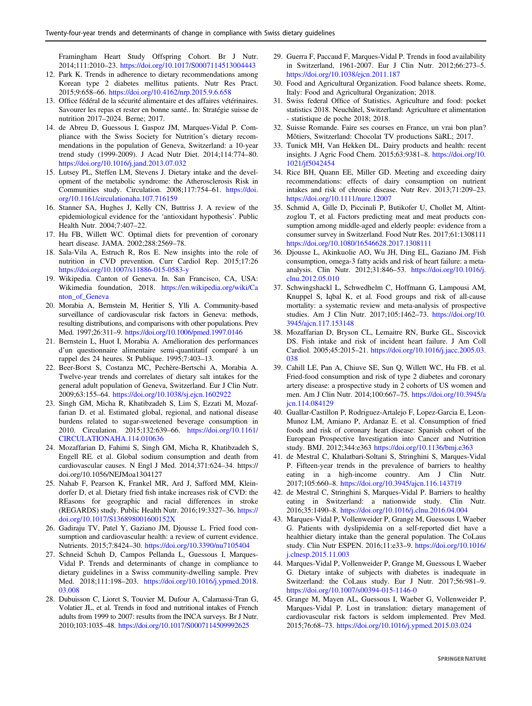<span id="page-8-0"></span>Framingham Heart Study Offspring Cohort. Br J Nutr. 2014;111:2010–23. <https://doi.org/10.1017/S0007114513004443>

- 12. Park K. Trends in adherence to dietary recommendations among Korean type 2 diabetes mellitus patients. Nutr Res Pract. 2015;9:658–66. <https://doi.org/10.4162/nrp.2015.9.6.658>
- 13. Office fédéral de la sécurité alimentaire et des affaires vétérinaires. Savourer les repas et rester en bonne santé.. In: Stratégie suisse de nutrition 2017–2024. Berne; 2017.
- 14. de Abreu D, Guessous I, Gaspoz JM, Marques-Vidal P. Compliance with the Swiss Society for Nutrition's dietary recommendations in the population of Geneva, Switzerland: a 10-year trend study (1999-2009). J Acad Nutr Diet. 2014;114:774–80. <https://doi.org/10.1016/j.jand.2013.07.032>
- 15. Lutsey PL, Steffen LM, Stevens J. Dietary intake and the development of the metabolic syndrome: the Atherosclerosis Risk in Communities study. Circulation. 2008;117:754–61. [https://doi.](https://doi.org/10.1161/circulationaha.107.716159) [org/10.1161/circulationaha.107.716159](https://doi.org/10.1161/circulationaha.107.716159)
- 16. Stanner SA, Hughes J, Kelly CN, Buttriss J. A review of the epidemiological evidence for the 'antioxidant hypothesis'. Public Health Nutr. 2004;7:407–22.
- 17. Hu FB, Willett WC. Optimal diets for prevention of coronary heart disease. JAMA. 2002;288:2569–78.
- 18. Sala-Vila A, Estruch R, Ros E. New insights into the role of nutrition in CVD prevention. Curr Cardiol Rep. 2015;17:26 <https://doi.org/10.1007/s11886-015-0583-y>
- 19. Wikipedia. Canton of Geneva. In. San Francisco, CA, USA: Wikimedia foundation, 2018. [https://en.wikipedia.org/wiki/Ca](https://en.wikipedia.org/wiki/Canton_of_Geneva) [nton\\_of\\_Geneva](https://en.wikipedia.org/wiki/Canton_of_Geneva)
- 20. Morabia A, Bernstein M, Heritier S, Ylli A. Community-based surveillance of cardiovascular risk factors in Geneva: methods, resulting distributions, and comparisons with other populations. Prev Med. 1997;26:311–9. <https://doi.org/10.1006/pmed.1997.0146>
- 21. Bernstein L, Huot I, Morabia A. Amélioration des performances d'un questionnaire alimentaire semi-quantitatif comparé à un rappel des 24 heures. St Publique. 1995;7:403–13.
- 22. Beer-Borst S, Costanza MC, Pechère-Bertschi A, Morabia A. Twelve-year trends and correlates of dietary salt intakes for the general adult population of Geneva, Switzerland. Eur J Clin Nutr. 2009;63:155–64. <https://doi.org/10.1038/sj.ejcn.1602922>
- 23. Singh GM, Micha R, Khatibzadeh S, Lim S, Ezzati M, Mozaffarian D. et al. Estimated global, regional, and national disease burdens related to sugar-sweetened beverage consumption in 2010. Circulation. 2015;132:639–66. [https://doi.org/10.1161/](https://doi.org/10.1161/CIRCULATIONAHA.114.010636) [CIRCULATIONAHA.114.010636](https://doi.org/10.1161/CIRCULATIONAHA.114.010636)
- 24. Mozaffarian D, Fahimi S, Singh GM, Micha R, Khatibzadeh S, Engell RE. et al. Global sodium consumption and death from cardiovascular causes. N Engl J Med. 2014;371:624–34. https:// doi.org/10.1056/NEJMoa1304127
- 25. Nahab F, Pearson K, Frankel MR, Ard J, Safford MM, Kleindorfer D, et al. Dietary fried fish intake increases risk of CVD: the REasons for geographic and racial differences in stroke (REGARDS) study. Public Health Nutr. 2016;19:3327–36. [https://](https://doi.org/10.1017/S136898001600152X) [doi.org/10.1017/S136898001600152X](https://doi.org/10.1017/S136898001600152X)
- 26. Gadiraju TV, Patel Y, Gaziano JM, Djousse L. Fried food consumption and cardiovascular health: a review of current evidence. Nutrients. 2015;7:8424–30. <https://doi.org/10.3390/nu7105404>
- 27. Schneid Schuh D, Campos Pellanda L, Guessous I, Marques-Vidal P. Trends and determinants of change in compliance to dietary guidelines in a Swiss community-dwelling sample. Prev Med. 2018;111:198–203. [https://doi.org/10.1016/j.ypmed.2018.](https://doi.org/10.1016/j.ypmed.2018.03.008) [03.008](https://doi.org/10.1016/j.ypmed.2018.03.008)
- 28. Dubuisson C, Lioret S, Touvier M, Dufour A, Calamassi-Tran G, Volatier JL, et al. Trends in food and nutritional intakes of French adults from 1999 to 2007: results from the INCA surveys. Br J Nutr. 2010;103:1035–48. <https://doi.org/10.1017/S0007114509992625>
- 29. Guerra F, Paccaud F, Marques-Vidal P. Trends in food availability in Switzerland, 1961-2007. Eur J Clin Nutr. 2012;66:273–5. <https://doi.org/10.1038/ejcn.2011.187>
- 30. Food and Agricultural Organization. Food balance sheets. Rome, Italy: Food and Agricultural Organization; 2018.
- 31. Swiss federal Office of Statistics. Agriculture and food: pocket statistics 2018. Neuchâtel, Switzerland: Agriculture et alimentation - statistique de poche 2018; 2018.
- 32. Suisse Romande. Faire ses courses en France, un vrai bon plan? Môtiers, Switzerland: Chocolat TV productions SàRL; 2017.
- 33. Tunick MH, Van Hekken DL. Dairy products and health: recent insights. J Agric Food Chem. 2015;63:9381–8. [https://doi.org/10.](https://doi.org/10.1021/jf5042454) [1021/jf5042454](https://doi.org/10.1021/jf5042454)
- 34. Rice BH, Quann EE, Miller GD. Meeting and exceeding dairy recommendations: effects of dairy consumption on nutrient intakes and risk of chronic disease. Nutr Rev. 2013;71:209–23. <https://doi.org/10.1111/nure.12007>
- 35. Schmid A, Gille D, Piccinali P, Butikofer U, Chollet M, Altintzoglou T, et al. Factors predicting meat and meat products consumption among middle-aged and elderly people: evidence from a consumer survey in Switzerland. Food Nutr Res. 2017;61:1308111 <https://doi.org/10.1080/16546628.2017.1308111>
- 36. Djousse L, Akinkuolie AO, Wu JH, Ding EL, Gaziano JM. Fish consumption, omega-3 fatty acids and risk of heart failure: a metaanalysis. Clin Nutr. 2012;31:846–53. [https://doi.org/10.1016/j.](https://doi.org/10.1016/j.clnu.2012.05.010) [clnu.2012.05.010](https://doi.org/10.1016/j.clnu.2012.05.010)
- 37. Schwingshackl L, Schwedhelm C, Hoffmann G, Lampousi AM, Knuppel S, Iqbal K, et al. Food groups and risk of all-cause mortality: a systematic review and meta-analysis of prospective studies. Am J Clin Nutr. 2017;105:1462–73. [https://doi.org/10.](https://doi.org/10.3945/ajcn.117.153148) [3945/ajcn.117.153148](https://doi.org/10.3945/ajcn.117.153148)
- 38. Mozaffarian D, Bryson CL, Lemaitre RN, Burke GL, Siscovick DS. Fish intake and risk of incident heart failure. J Am Coll Cardiol. 2005;45:2015–21. [https://doi.org/10.1016/j.jacc.2005.03.](https://doi.org/10.1016/j.jacc.2005.03.038) [038](https://doi.org/10.1016/j.jacc.2005.03.038)
- 39. Cahill LE, Pan A, Chiuve SE, Sun Q, Willett WC, Hu FB. et al. Fried-food consumption and risk of type 2 diabetes and coronary artery disease: a prospective study in 2 cohorts of US women and men. Am J Clin Nutr. 2014;100:667–75. [https://doi.org/10.3945/a](https://doi.org/10.3945/ajcn.114.084129) [jcn.114.084129](https://doi.org/10.3945/ajcn.114.084129)
- 40. Guallar-Castillon P, Rodriguez-Artalejo F, Lopez-Garcia E, Leon-Munoz LM, Amiano P, Ardanaz E. et al. Consumption of fried foods and risk of coronary heart disease: Spanish cohort of the European Prospective Investigation into Cancer and Nutrition study. BMJ. 2012;344:e363 <https://doi.org/10.1136/bmj.e363>
- 41. de Mestral C, Khalatbari-Soltani S, Stringhini S, Marques-Vidal P. Fifteen-year trends in the prevalence of barriers to healthy eating in a high-income country. Am J Clin Nutr. 2017;105:660–8. <https://doi.org/10.3945/ajcn.116.143719>
- 42. de Mestral C, Stringhini S, Marques-Vidal P. Barriers to healthy eating in Switzerland: a nationwide study. Clin Nutr. 2016;35:1490–8. <https://doi.org/10.1016/j.clnu.2016.04.004>
- 43. Marques-Vidal P, Vollenweider P, Grange M, Guessous I, Waeber G. Patients with dyslipidemia on a self-reported diet have a healthier dietary intake than the general population. The CoLaus study. Clin Nutr ESPEN. 2016;11:e33–9. [https://doi.org/10.1016/](https://doi.org/10.1016/j.clnesp.2015.11.003) [j.clnesp.2015.11.003](https://doi.org/10.1016/j.clnesp.2015.11.003)
- 44. Marques-Vidal P, Vollenweider P, Grange M, Guessous I, Waeber G. Dietary intake of subjects with diabetes is inadequate in Switzerland: the CoLaus study. Eur J Nutr. 2017;56:981–9. <https://doi.org/10.1007/s00394-015-1146-0>
- 45. Grange M, Mayen AL, Guessous I, Waeber G, Vollenweider P, Marques-Vidal P. Lost in translation: dietary management of cardiovascular risk factors is seldom implemented. Prev Med. 2015;76:68–73. <https://doi.org/10.1016/j.ypmed.2015.03.024>